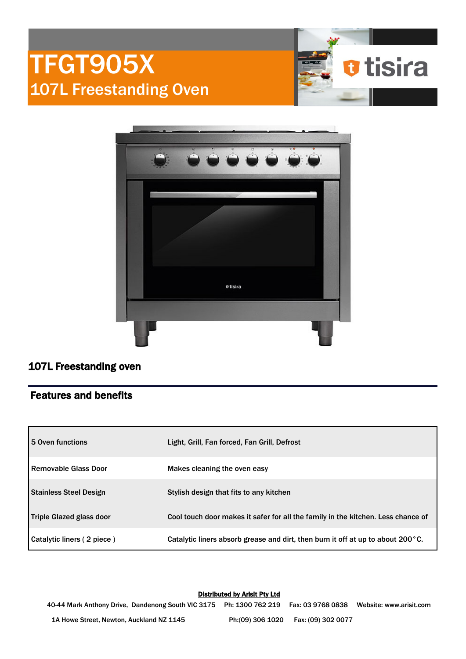



## 107L Freestanding oven

## Features and benefits

| l 5 Oven functions            | Light, Grill, Fan forced, Fan Grill, Defrost                                              |  |
|-------------------------------|-------------------------------------------------------------------------------------------|--|
| l Removable Glass Door        | Makes cleaning the oven easy                                                              |  |
| <b>Stainless Steel Design</b> | Stylish design that fits to any kitchen                                                   |  |
| Triple Glazed glass door      | Cool touch door makes it safer for all the family in the kitchen. Less chance of          |  |
| Catalytic liners (2 piece)    | Catalytic liners absorb grease and dirt, then burn it off at up to about $200^{\circ}$ C. |  |

Distributed by Arisit Pty Ltd